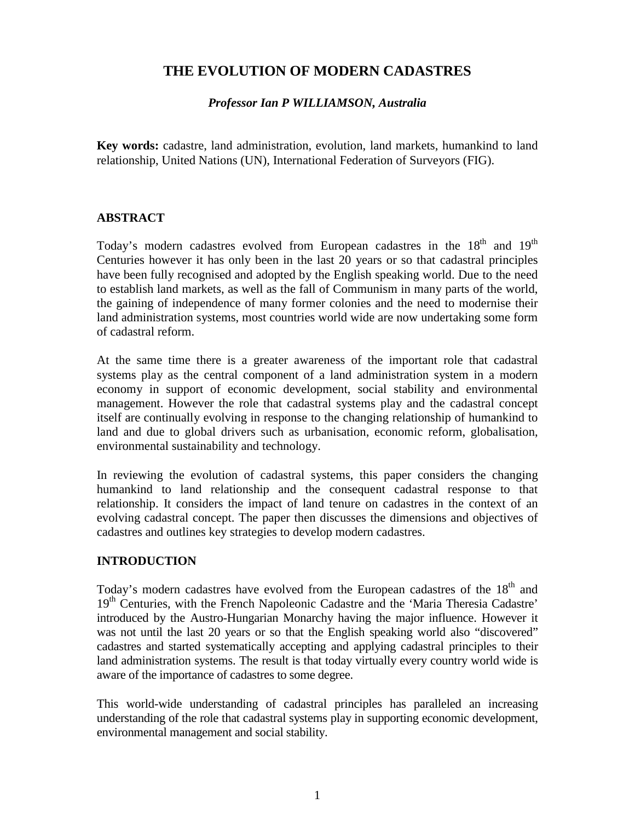# **THE EVOLUTION OF MODERN CADASTRES**

#### *Professor Ian P WILLIAMSON, Australia*

**Key words:** cadastre, land administration, evolution, land markets, humankind to land relationship, United Nations (UN), International Federation of Surveyors (FIG).

#### **ABSTRACT**

Today's modern cadastres evolved from European cadastres in the  $18<sup>th</sup>$  and  $19<sup>th</sup>$ Centuries however it has only been in the last 20 years or so that cadastral principles have been fully recognised and adopted by the English speaking world. Due to the need to establish land markets, as well as the fall of Communism in many parts of the world, the gaining of independence of many former colonies and the need to modernise their land administration systems, most countries world wide are now undertaking some form of cadastral reform.

At the same time there is a greater awareness of the important role that cadastral systems play as the central component of a land administration system in a modern economy in support of economic development, social stability and environmental management. However the role that cadastral systems play and the cadastral concept itself are continually evolving in response to the changing relationship of humankind to land and due to global drivers such as urbanisation, economic reform, globalisation, environmental sustainability and technology.

In reviewing the evolution of cadastral systems, this paper considers the changing humankind to land relationship and the consequent cadastral response to that relationship. It considers the impact of land tenure on cadastres in the context of an evolving cadastral concept. The paper then discusses the dimensions and objectives of cadastres and outlines key strategies to develop modern cadastres.

# **INTRODUCTION**

Today's modern cadastres have evolved from the European cadastres of the 18<sup>th</sup> and 19<sup>th</sup> Centuries, with the French Napoleonic Cadastre and the 'Maria Theresia Cadastre' introduced by the Austro-Hungarian Monarchy having the major influence. However it was not until the last 20 years or so that the English speaking world also "discovered" cadastres and started systematically accepting and applying cadastral principles to their land administration systems. The result is that today virtually every country world wide is aware of the importance of cadastres to some degree.

This world-wide understanding of cadastral principles has paralleled an increasing understanding of the role that cadastral systems play in supporting economic development, environmental management and social stability.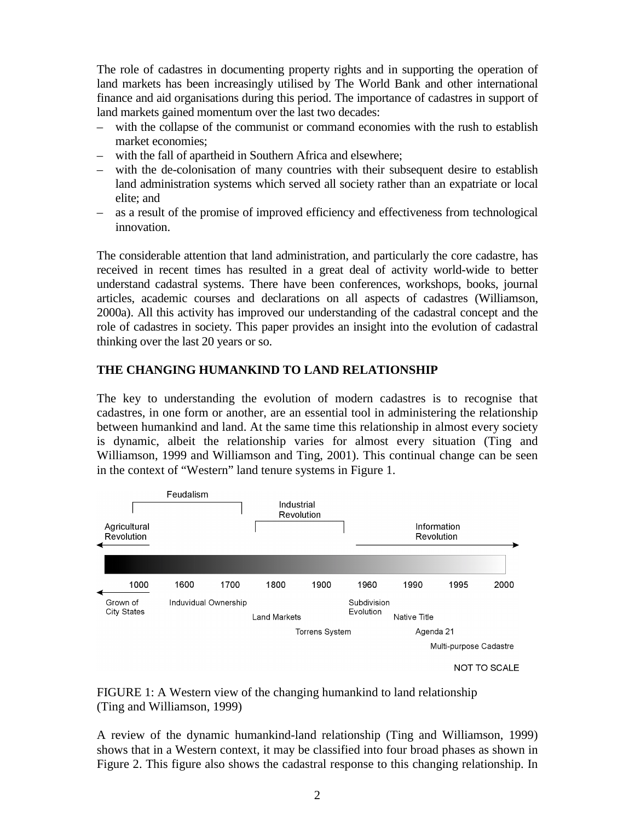The role of cadastres in documenting property rights and in supporting the operation of land markets has been increasingly utilised by The World Bank and other international finance and aid organisations during this period. The importance of cadastres in support of land markets gained momentum over the last two decades:

- with the collapse of the communist or command economies with the rush to establish market economies;
- with the fall of apartheid in Southern Africa and elsewhere;
- with the de-colonisation of many countries with their subsequent desire to establish land administration systems which served all society rather than an expatriate or local elite; and
- as a result of the promise of improved efficiency and effectiveness from technological innovation.

The considerable attention that land administration, and particularly the core cadastre, has received in recent times has resulted in a great deal of activity world-wide to better understand cadastral systems. There have been conferences, workshops, books, journal articles, academic courses and declarations on all aspects of cadastres (Williamson, 2000a). All this activity has improved our understanding of the cadastral concept and the role of cadastres in society. This paper provides an insight into the evolution of cadastral thinking over the last 20 years or so.

# **THE CHANGING HUMANKIND TO LAND RELATIONSHIP**

The key to understanding the evolution of modern cadastres is to recognise that cadastres, in one form or another, are an essential tool in administering the relationship between humankind and land. At the same time this relationship in almost every society is dynamic, albeit the relationship varies for almost every situation (Ting and Williamson, 1999 and Williamson and Ting, 2001). This continual change can be seen in the context of "Western" land tenure systems in Figure 1.



FIGURE 1: A Western view of the changing humankind to land relationship (Ting and Williamson, 1999)

A review of the dynamic humankind-land relationship (Ting and Williamson, 1999) shows that in a Western context, it may be classified into four broad phases as shown in Figure 2. This figure also shows the cadastral response to this changing relationship. In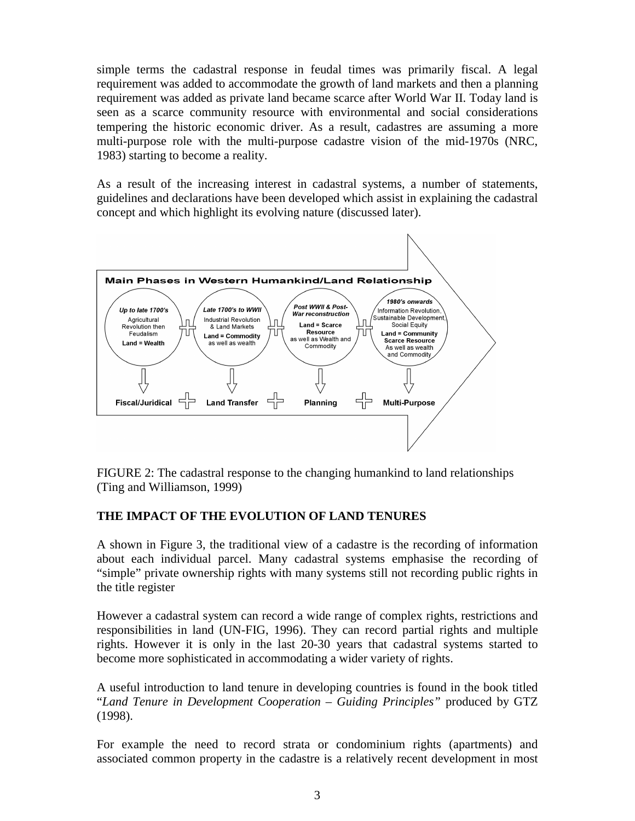simple terms the cadastral response in feudal times was primarily fiscal. A legal requirement was added to accommodate the growth of land markets and then a planning requirement was added as private land became scarce after World War II. Today land is seen as a scarce community resource with environmental and social considerations tempering the historic economic driver. As a result, cadastres are assuming a more multi-purpose role with the multi-purpose cadastre vision of the mid-1970s (NRC, 1983) starting to become a reality.

As a result of the increasing interest in cadastral systems, a number of statements, guidelines and declarations have been developed which assist in explaining the cadastral concept and which highlight its evolving nature (discussed later).



FIGURE 2: The cadastral response to the changing humankind to land relationships (Ting and Williamson, 1999)

# **THE IMPACT OF THE EVOLUTION OF LAND TENURES**

A shown in Figure 3, the traditional view of a cadastre is the recording of information about each individual parcel. Many cadastral systems emphasise the recording of "simple" private ownership rights with many systems still not recording public rights in the title register

However a cadastral system can record a wide range of complex rights, restrictions and responsibilities in land (UN-FIG, 1996). They can record partial rights and multiple rights. However it is only in the last 20-30 years that cadastral systems started to become more sophisticated in accommodating a wider variety of rights.

A useful introduction to land tenure in developing countries is found in the book titled "*Land Tenure in Development Cooperation – Guiding Principles"* produced by GTZ (1998).

For example the need to record strata or condominium rights (apartments) and associated common property in the cadastre is a relatively recent development in most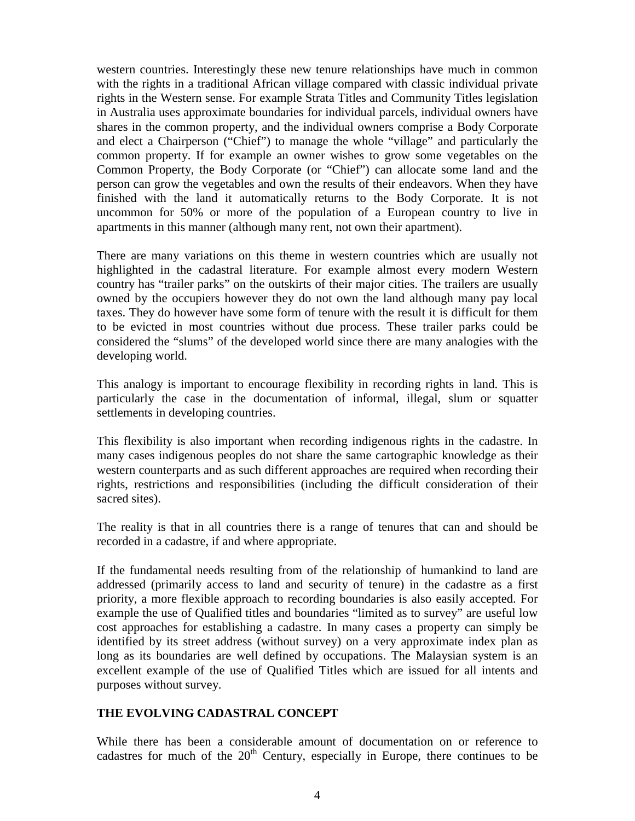western countries. Interestingly these new tenure relationships have much in common with the rights in a traditional African village compared with classic individual private rights in the Western sense. For example Strata Titles and Community Titles legislation in Australia uses approximate boundaries for individual parcels, individual owners have shares in the common property, and the individual owners comprise a Body Corporate and elect a Chairperson ("Chief") to manage the whole "village" and particularly the common property. If for example an owner wishes to grow some vegetables on the Common Property, the Body Corporate (or "Chief") can allocate some land and the person can grow the vegetables and own the results of their endeavors. When they have finished with the land it automatically returns to the Body Corporate. It is not uncommon for 50% or more of the population of a European country to live in apartments in this manner (although many rent, not own their apartment).

There are many variations on this theme in western countries which are usually not highlighted in the cadastral literature. For example almost every modern Western country has "trailer parks" on the outskirts of their major cities. The trailers are usually owned by the occupiers however they do not own the land although many pay local taxes. They do however have some form of tenure with the result it is difficult for them to be evicted in most countries without due process. These trailer parks could be considered the "slums" of the developed world since there are many analogies with the developing world.

This analogy is important to encourage flexibility in recording rights in land. This is particularly the case in the documentation of informal, illegal, slum or squatter settlements in developing countries.

This flexibility is also important when recording indigenous rights in the cadastre. In many cases indigenous peoples do not share the same cartographic knowledge as their western counterparts and as such different approaches are required when recording their rights, restrictions and responsibilities (including the difficult consideration of their sacred sites).

The reality is that in all countries there is a range of tenures that can and should be recorded in a cadastre, if and where appropriate.

If the fundamental needs resulting from of the relationship of humankind to land are addressed (primarily access to land and security of tenure) in the cadastre as a first priority, a more flexible approach to recording boundaries is also easily accepted. For example the use of Qualified titles and boundaries "limited as to survey" are useful low cost approaches for establishing a cadastre. In many cases a property can simply be identified by its street address (without survey) on a very approximate index plan as long as its boundaries are well defined by occupations. The Malaysian system is an excellent example of the use of Qualified Titles which are issued for all intents and purposes without survey.

# **THE EVOLVING CADASTRAL CONCEPT**

While there has been a considerable amount of documentation on or reference to cadastres for much of the  $20<sup>th</sup>$  Century, especially in Europe, there continues to be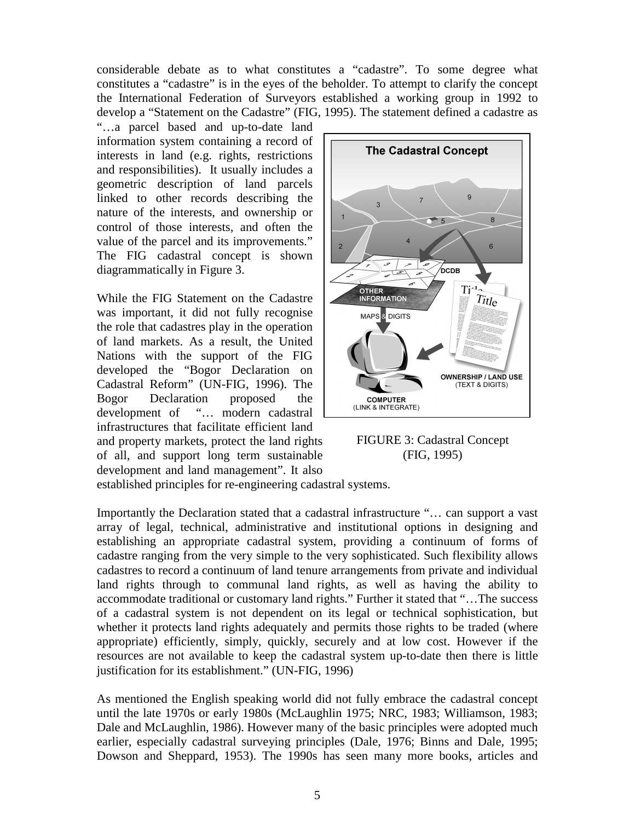considerable debate as to what constitutes a "cadastre". To some degree what constitutes a "cadastre" is in the eyes of the beholder. To attempt to clarify the concept the International Federation of Surveyors established a working group in 1992 to develop a "Statement on the Cadastre" (FIG, 1995). The statement defined a cadastre as

"…a parcel based and up-to-date land information system containing a record of interests in land (e.g. rights, restrictions and responsibilities). It usually includes a geometric description of land parcels linked to other records describing the nature of the interests, and ownership or control of those interests, and often the value of the parcel and its improvements." The FIG cadastral concept is shown diagrammatically in Figure 3.

While the FIG Statement on the Cadastre was important, it did not fully recognise the role that cadastres play in the operation of land markets. As a result, the United Nations with the support of the FIG developed the "Bogor Declaration on Cadastral Reform" (UN-FIG, 1996). The Bogor Declaration proposed the development of "… modern cadastral infrastructures that facilitate efficient land and property markets, protect the land rights of all, and support long term sustainable development and land management". It also



FIGURE 3: Cadastral Concept (FIG, 1995)

established principles for re-engineering cadastral systems.

Importantly the Declaration stated that a cadastral infrastructure "… can support a vast array of legal, technical, administrative and institutional options in designing and establishing an appropriate cadastral system, providing a continuum of forms of cadastre ranging from the very simple to the very sophisticated. Such flexibility allows cadastres to record a continuum of land tenure arrangements from private and individual land rights through to communal land rights, as well as having the ability to accommodate traditional or customary land rights." Further it stated that "…The success of a cadastral system is not dependent on its legal or technical sophistication, but whether it protects land rights adequately and permits those rights to be traded (where appropriate) efficiently, simply, quickly, securely and at low cost. However if the resources are not available to keep the cadastral system up-to-date then there is little justification for its establishment." (UN-FIG, 1996)

As mentioned the English speaking world did not fully embrace the cadastral concept until the late 1970s or early 1980s (McLaughlin 1975; NRC, 1983; Williamson, 1983; Dale and McLaughlin, 1986). However many of the basic principles were adopted much earlier, especially cadastral surveying principles (Dale, 1976; Binns and Dale, 1995; Dowson and Sheppard, 1953). The 1990s has seen many more books, articles and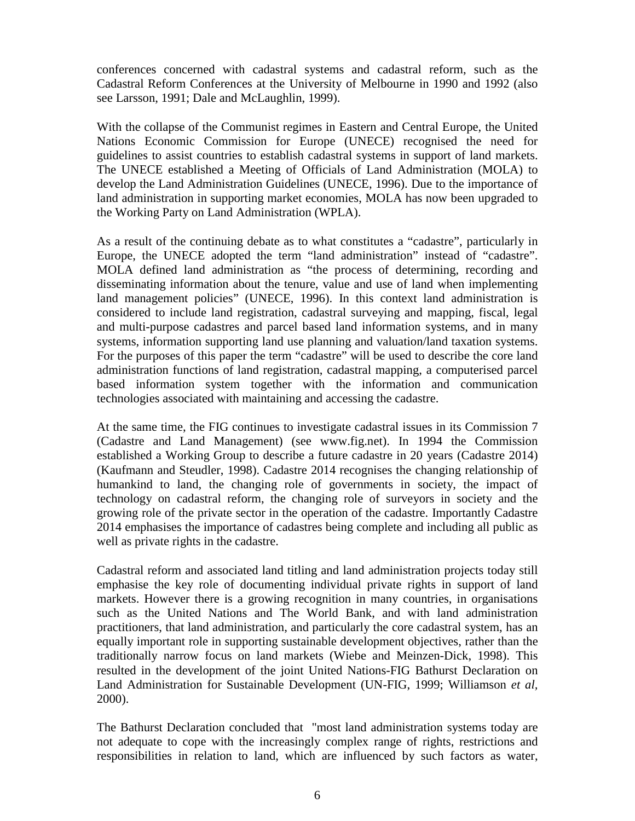conferences concerned with cadastral systems and cadastral reform, such as the Cadastral Reform Conferences at the University of Melbourne in 1990 and 1992 (also see Larsson, 1991; Dale and McLaughlin, 1999).

With the collapse of the Communist regimes in Eastern and Central Europe, the United Nations Economic Commission for Europe (UNECE) recognised the need for guidelines to assist countries to establish cadastral systems in support of land markets. The UNECE established a Meeting of Officials of Land Administration (MOLA) to develop the Land Administration Guidelines (UNECE, 1996). Due to the importance of land administration in supporting market economies, MOLA has now been upgraded to the Working Party on Land Administration (WPLA).

As a result of the continuing debate as to what constitutes a "cadastre", particularly in Europe, the UNECE adopted the term "land administration" instead of "cadastre". MOLA defined land administration as "the process of determining, recording and disseminating information about the tenure, value and use of land when implementing land management policies" (UNECE, 1996). In this context land administration is considered to include land registration, cadastral surveying and mapping, fiscal, legal and multi-purpose cadastres and parcel based land information systems, and in many systems, information supporting land use planning and valuation/land taxation systems. For the purposes of this paper the term "cadastre" will be used to describe the core land administration functions of land registration, cadastral mapping, a computerised parcel based information system together with the information and communication technologies associated with maintaining and accessing the cadastre.

At the same time, the FIG continues to investigate cadastral issues in its Commission 7 (Cadastre and Land Management) (see www.fig.net). In 1994 the Commission established a Working Group to describe a future cadastre in 20 years (Cadastre 2014) (Kaufmann and Steudler, 1998). Cadastre 2014 recognises the changing relationship of humankind to land, the changing role of governments in society, the impact of technology on cadastral reform, the changing role of surveyors in society and the growing role of the private sector in the operation of the cadastre. Importantly Cadastre 2014 emphasises the importance of cadastres being complete and including all public as well as private rights in the cadastre.

Cadastral reform and associated land titling and land administration projects today still emphasise the key role of documenting individual private rights in support of land markets. However there is a growing recognition in many countries, in organisations such as the United Nations and The World Bank, and with land administration practitioners, that land administration, and particularly the core cadastral system, has an equally important role in supporting sustainable development objectives, rather than the traditionally narrow focus on land markets (Wiebe and Meinzen-Dick, 1998). This resulted in the development of the joint United Nations-FIG Bathurst Declaration on Land Administration for Sustainable Development (UN-FIG, 1999; Williamson *et al,* 2000).

The Bathurst Declaration concluded that "most land administration systems today are not adequate to cope with the increasingly complex range of rights, restrictions and responsibilities in relation to land, which are influenced by such factors as water,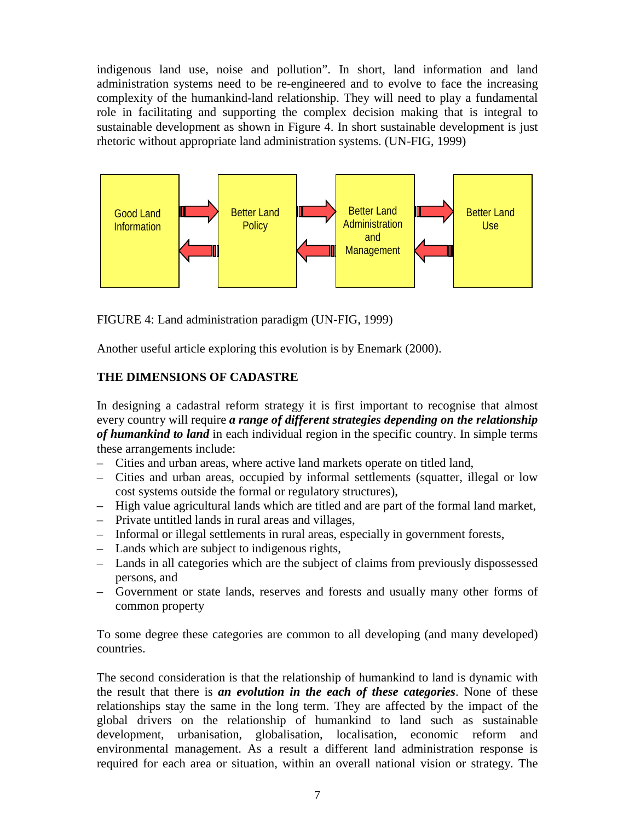indigenous land use, noise and pollution". In short, land information and land administration systems need to be re-engineered and to evolve to face the increasing complexity of the humankind-land relationship. They will need to play a fundamental role in facilitating and supporting the complex decision making that is integral to sustainable development as shown in Figure 4. In short sustainable development is just rhetoric without appropriate land administration systems. (UN-FIG, 1999)



FIGURE 4: Land administration paradigm (UN-FIG, 1999)

Another useful article exploring this evolution is by Enemark (2000).

# **THE DIMENSIONS OF CADASTRE**

In designing a cadastral reform strategy it is first important to recognise that almost every country will require *a range of different strategies depending on the relationship of humankind to land* in each individual region in the specific country. In simple terms these arrangements include:

- Cities and urban areas, where active land markets operate on titled land,
- Cities and urban areas, occupied by informal settlements (squatter, illegal or low cost systems outside the formal or regulatory structures),
- High value agricultural lands which are titled and are part of the formal land market,
- Private untitled lands in rural areas and villages,
- Informal or illegal settlements in rural areas, especially in government forests,
- Lands which are subject to indigenous rights,
- Lands in all categories which are the subject of claims from previously dispossessed persons, and
- Government or state lands, reserves and forests and usually many other forms of common property

To some degree these categories are common to all developing (and many developed) countries.

The second consideration is that the relationship of humankind to land is dynamic with the result that there is *an evolution in the each of these categories*. None of these relationships stay the same in the long term. They are affected by the impact of the global drivers on the relationship of humankind to land such as sustainable development, urbanisation, globalisation, localisation, economic reform and environmental management. As a result a different land administration response is required for each area or situation, within an overall national vision or strategy. The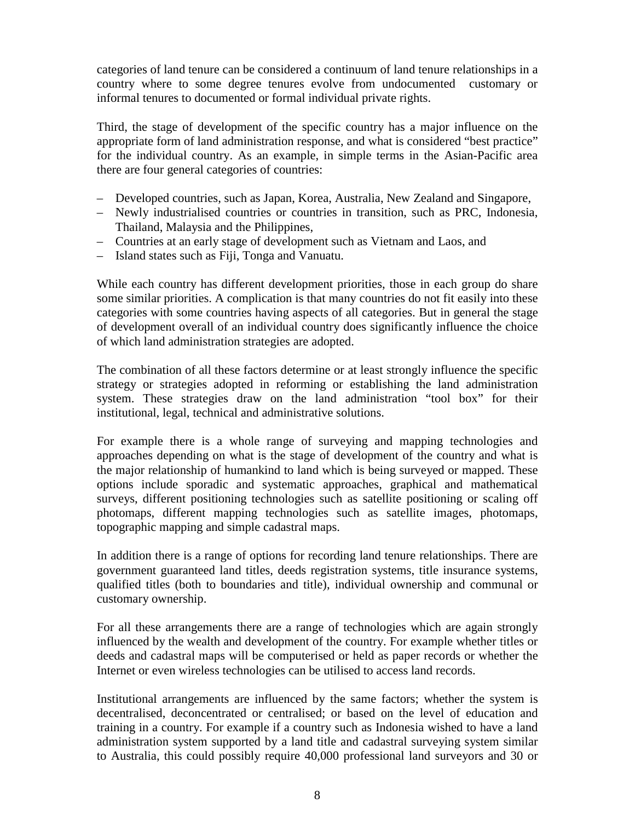categories of land tenure can be considered a continuum of land tenure relationships in a country where to some degree tenures evolve from undocumented customary or informal tenures to documented or formal individual private rights.

Third, the stage of development of the specific country has a major influence on the appropriate form of land administration response, and what is considered "best practice" for the individual country. As an example, in simple terms in the Asian-Pacific area there are four general categories of countries:

- Developed countries, such as Japan, Korea, Australia, New Zealand and Singapore,
- Newly industrialised countries or countries in transition, such as PRC, Indonesia, Thailand, Malaysia and the Philippines,
- Countries at an early stage of development such as Vietnam and Laos, and
- Island states such as Fiji, Tonga and Vanuatu.

While each country has different development priorities, those in each group do share some similar priorities. A complication is that many countries do not fit easily into these categories with some countries having aspects of all categories. But in general the stage of development overall of an individual country does significantly influence the choice of which land administration strategies are adopted.

The combination of all these factors determine or at least strongly influence the specific strategy or strategies adopted in reforming or establishing the land administration system. These strategies draw on the land administration "tool box" for their institutional, legal, technical and administrative solutions.

For example there is a whole range of surveying and mapping technologies and approaches depending on what is the stage of development of the country and what is the major relationship of humankind to land which is being surveyed or mapped. These options include sporadic and systematic approaches, graphical and mathematical surveys, different positioning technologies such as satellite positioning or scaling off photomaps, different mapping technologies such as satellite images, photomaps, topographic mapping and simple cadastral maps.

In addition there is a range of options for recording land tenure relationships. There are government guaranteed land titles, deeds registration systems, title insurance systems, qualified titles (both to boundaries and title), individual ownership and communal or customary ownership.

For all these arrangements there are a range of technologies which are again strongly influenced by the wealth and development of the country. For example whether titles or deeds and cadastral maps will be computerised or held as paper records or whether the Internet or even wireless technologies can be utilised to access land records.

Institutional arrangements are influenced by the same factors; whether the system is decentralised, deconcentrated or centralised; or based on the level of education and training in a country. For example if a country such as Indonesia wished to have a land administration system supported by a land title and cadastral surveying system similar to Australia, this could possibly require 40,000 professional land surveyors and 30 or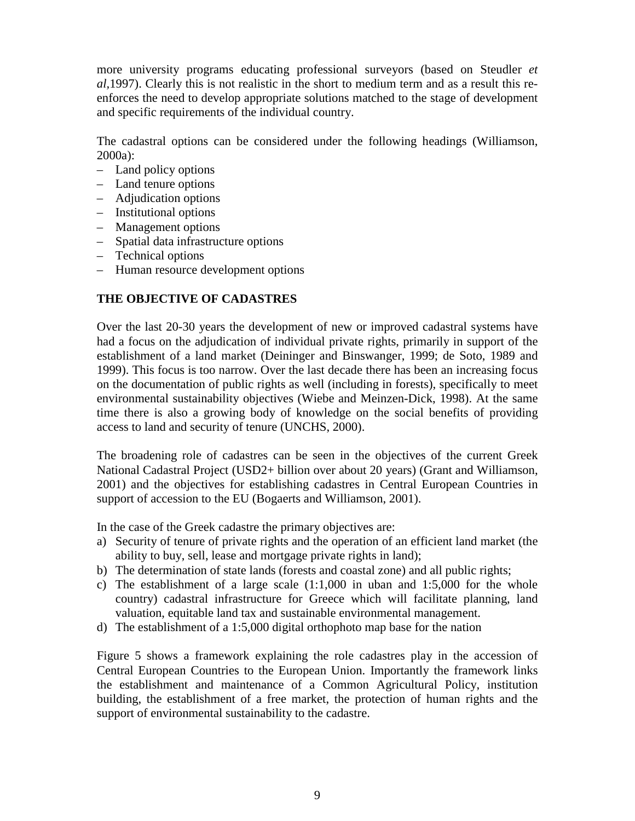more university programs educating professional surveyors (based on Steudler *et al,*1997). Clearly this is not realistic in the short to medium term and as a result this reenforces the need to develop appropriate solutions matched to the stage of development and specific requirements of the individual country.

The cadastral options can be considered under the following headings (Williamson, 2000a):

- Land policy options
- Land tenure options
- Adjudication options
- Institutional options
- Management options
- Spatial data infrastructure options
- Technical options
- Human resource development options

#### **THE OBJECTIVE OF CADASTRES**

Over the last 20-30 years the development of new or improved cadastral systems have had a focus on the adjudication of individual private rights, primarily in support of the establishment of a land market (Deininger and Binswanger, 1999; de Soto, 1989 and 1999). This focus is too narrow. Over the last decade there has been an increasing focus on the documentation of public rights as well (including in forests), specifically to meet environmental sustainability objectives (Wiebe and Meinzen-Dick, 1998). At the same time there is also a growing body of knowledge on the social benefits of providing access to land and security of tenure (UNCHS, 2000).

The broadening role of cadastres can be seen in the objectives of the current Greek National Cadastral Project (USD2+ billion over about 20 years) (Grant and Williamson, 2001) and the objectives for establishing cadastres in Central European Countries in support of accession to the EU (Bogaerts and Williamson, 2001).

In the case of the Greek cadastre the primary objectives are:

- a) Security of tenure of private rights and the operation of an efficient land market (the ability to buy, sell, lease and mortgage private rights in land);
- b) The determination of state lands (forests and coastal zone) and all public rights;
- c) The establishment of a large scale  $(1:1,000)$  in uban and  $1:5,000$  for the whole country) cadastral infrastructure for Greece which will facilitate planning, land valuation, equitable land tax and sustainable environmental management.
- d) The establishment of a 1:5,000 digital orthophoto map base for the nation

Figure 5 shows a framework explaining the role cadastres play in the accession of Central European Countries to the European Union. Importantly the framework links the establishment and maintenance of a Common Agricultural Policy, institution building, the establishment of a free market, the protection of human rights and the support of environmental sustainability to the cadastre.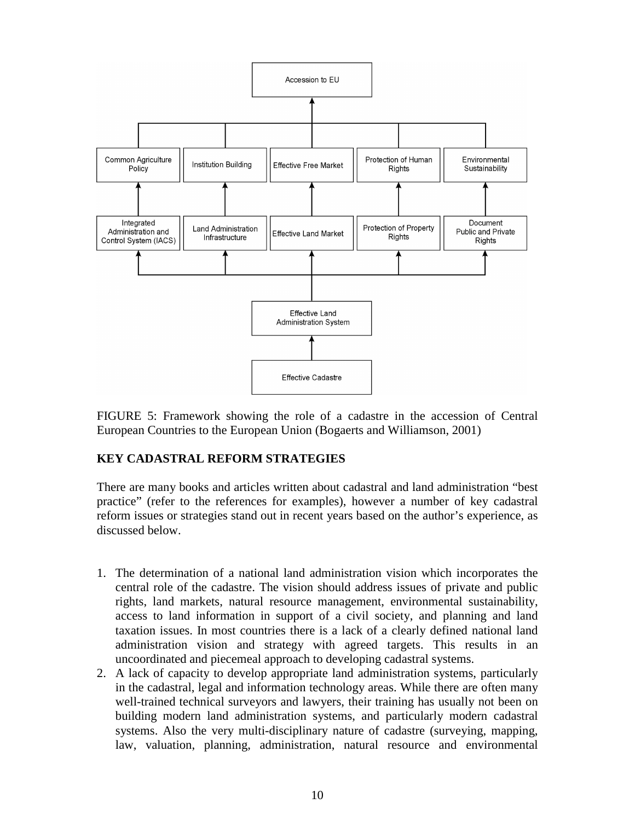

FIGURE 5: Framework showing the role of a cadastre in the accession of Central European Countries to the European Union (Bogaerts and Williamson, 2001)

# **KEY CADASTRAL REFORM STRATEGIES**

There are many books and articles written about cadastral and land administration "best practice" (refer to the references for examples), however a number of key cadastral reform issues or strategies stand out in recent years based on the author's experience, as discussed below.

- 1. The determination of a national land administration vision which incorporates the central role of the cadastre. The vision should address issues of private and public rights, land markets, natural resource management, environmental sustainability, access to land information in support of a civil society, and planning and land taxation issues. In most countries there is a lack of a clearly defined national land administration vision and strategy with agreed targets. This results in an uncoordinated and piecemeal approach to developing cadastral systems.
- 2. A lack of capacity to develop appropriate land administration systems, particularly in the cadastral, legal and information technology areas. While there are often many well-trained technical surveyors and lawyers, their training has usually not been on building modern land administration systems, and particularly modern cadastral systems. Also the very multi-disciplinary nature of cadastre (surveying, mapping, law, valuation, planning, administration, natural resource and environmental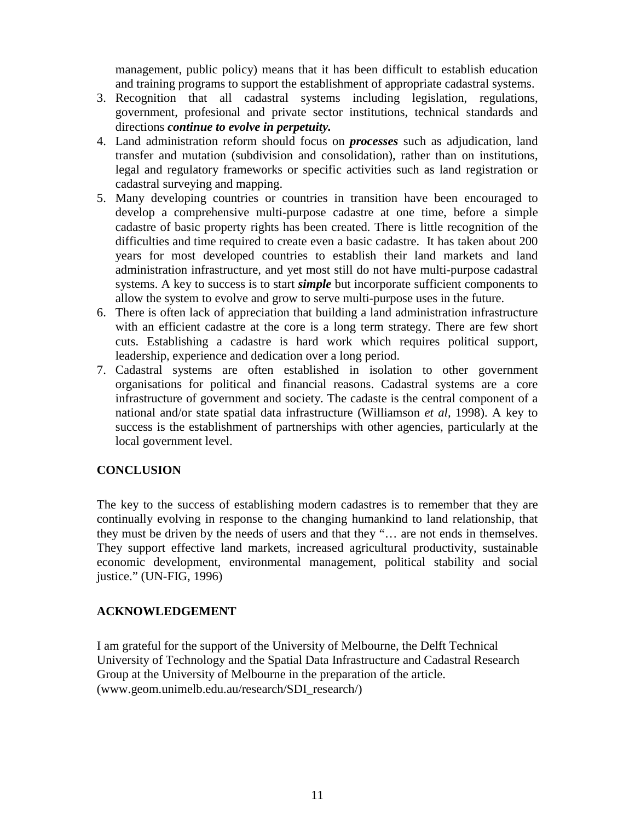management, public policy) means that it has been difficult to establish education and training programs to support the establishment of appropriate cadastral systems.

- 3. Recognition that all cadastral systems including legislation, regulations, government, profesional and private sector institutions, technical standards and directions *continue to evolve in perpetuity.*
- 4. Land administration reform should focus on *processes* such as adjudication, land transfer and mutation (subdivision and consolidation), rather than on institutions, legal and regulatory frameworks or specific activities such as land registration or cadastral surveying and mapping.
- 5. Many developing countries or countries in transition have been encouraged to develop a comprehensive multi-purpose cadastre at one time, before a simple cadastre of basic property rights has been created. There is little recognition of the difficulties and time required to create even a basic cadastre. It has taken about 200 years for most developed countries to establish their land markets and land administration infrastructure, and yet most still do not have multi-purpose cadastral systems. A key to success is to start *simple* but incorporate sufficient components to allow the system to evolve and grow to serve multi-purpose uses in the future.
- 6. There is often lack of appreciation that building a land administration infrastructure with an efficient cadastre at the core is a long term strategy. There are few short cuts. Establishing a cadastre is hard work which requires political support, leadership, experience and dedication over a long period.
- 7. Cadastral systems are often established in isolation to other government organisations for political and financial reasons. Cadastral systems are a core infrastructure of government and society. The cadaste is the central component of a national and/or state spatial data infrastructure (Williamson *et al,* 1998). A key to success is the establishment of partnerships with other agencies, particularly at the local government level.

#### **CONCLUSION**

The key to the success of establishing modern cadastres is to remember that they are continually evolving in response to the changing humankind to land relationship, that they must be driven by the needs of users and that they "… are not ends in themselves. They support effective land markets, increased agricultural productivity, sustainable economic development, environmental management, political stability and social justice." (UN-FIG, 1996)

#### **ACKNOWLEDGEMENT**

I am grateful for the support of the University of Melbourne, the Delft Technical University of Technology and the Spatial Data Infrastructure and Cadastral Research Group at the University of Melbourne in the preparation of the article. (www.geom.unimelb.edu.au/research/SDI\_research/)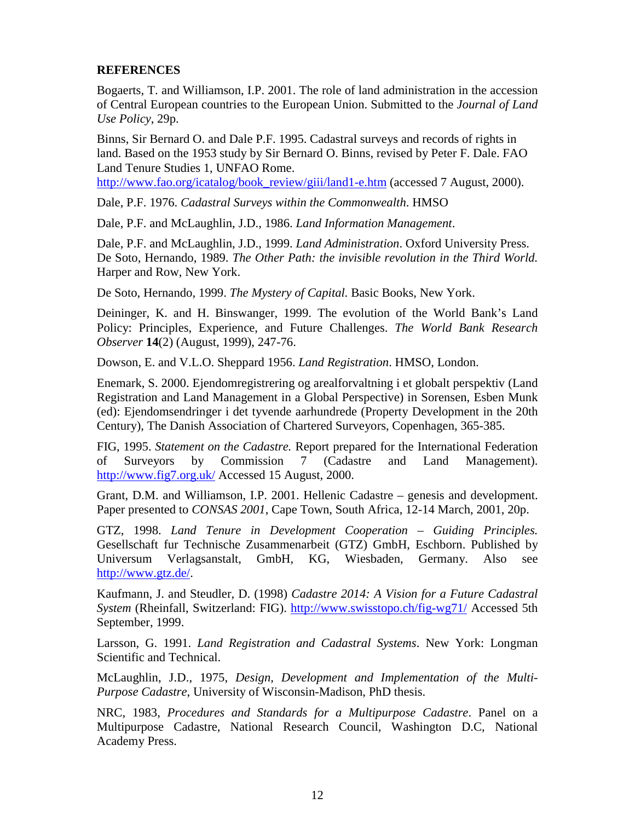#### **REFERENCES**

Bogaerts, T. and Williamson, I.P. 2001. The role of land administration in the accession of Central European countries to the European Union. Submitted to the *Journal of Land Use Policy*, 29p.

Binns, Sir Bernard O. and Dale P.F. 1995. Cadastral surveys and records of rights in land. Based on the 1953 study by Sir Bernard O. Binns, revised by Peter F. Dale. FAO Land Tenure Studies 1, UNFAO Rome.

http://www.fao.org/icatalog/book\_review/giii/land1-e.htm (accessed 7 August, 2000).

Dale, P.F. 1976. *Cadastral Surveys within the Commonwealth*. HMSO

Dale, P.F. and McLaughlin, J.D., 1986. *Land Information Management*.

Dale, P.F. and McLaughlin, J.D., 1999. *Land Administration*. Oxford University Press. De Soto, Hernando, 1989. *The Other Path: the invisible revolution in the Third World.* Harper and Row, New York.

De Soto, Hernando, 1999. *The Mystery of Capital.* Basic Books, New York.

Deininger, K. and H. Binswanger, 1999. The evolution of the World Bank's Land Policy: Principles, Experience, and Future Challenges. *The World Bank Research Observer* **14**(2) (August, 1999), 247-76.

Dowson, E. and V.L.O. Sheppard 1956. *Land Registration*. HMSO, London.

Enemark, S. 2000. Ejendomregistrering og arealforvaltning i et globalt perspektiv (Land Registration and Land Management in a Global Perspective) in Sorensen, Esben Munk (ed): Ejendomsendringer i det tyvende aarhundrede (Property Development in the 20th Century), The Danish Association of Chartered Surveyors, Copenhagen, 365-385.

FIG, 1995. *Statement on the Cadastre.* Report prepared for the International Federation of Surveyors by Commission 7 (Cadastre and Land Management). http://www.fig7.org.uk/ Accessed 15 August, 2000.

Grant, D.M. and Williamson, I.P. 2001. Hellenic Cadastre – genesis and development. Paper presented to *CONSAS 2001*, Cape Town, South Africa, 12-14 March, 2001, 20p.

GTZ, 1998. *Land Tenure in Development Cooperation – Guiding Principles.* Gesellschaft fur Technische Zusammenarbeit (GTZ) GmbH, Eschborn. Published by Universum Verlagsanstalt, GmbH, KG, Wiesbaden, Germany. Also see http://www.gtz.de/.

Kaufmann, J. and Steudler, D. (1998) *Cadastre 2014: A Vision for a Future Cadastral System* (Rheinfall, Switzerland: FIG). http://www.swisstopo.ch/fig-wg71/ Accessed 5th September, 1999.

Larsson, G. 1991. *Land Registration and Cadastral Systems*. New York: Longman Scientific and Technical.

McLaughlin, J.D., 1975, *Design, Development and Implementation of the Multi-Purpose Cadastre*, University of Wisconsin-Madison, PhD thesis.

NRC, 1983, *Procedures and Standards for a Multipurpose Cadastre*. Panel on a Multipurpose Cadastre, National Research Council, Washington D.C, National Academy Press.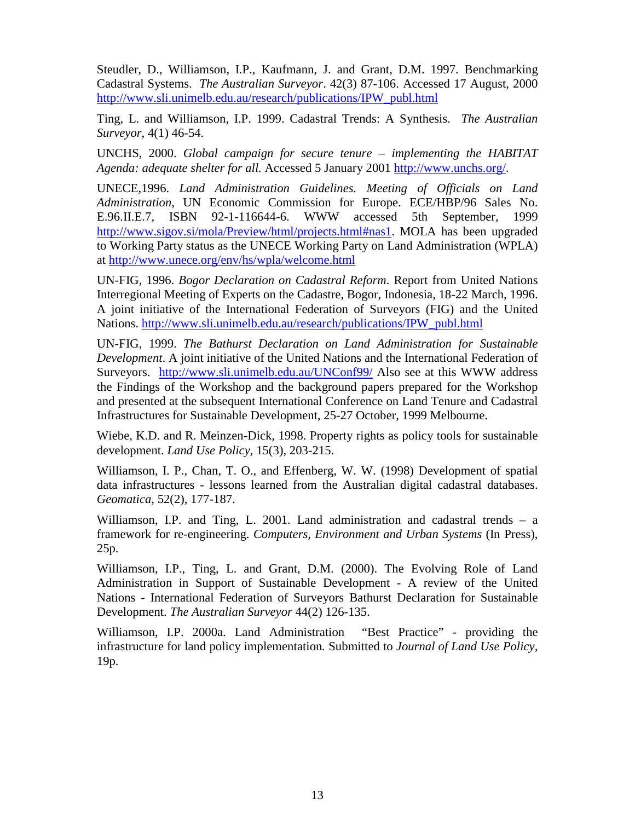Steudler, D., Williamson, I.P., Kaufmann, J. and Grant, D.M. 1997. Benchmarking Cadastral Systems. *The Australian Surveyor*. 42(3) 87-106. Accessed 17 August, 2000 http://www.sli.unimelb.edu.au/research/publications/IPW\_publ.html

Ting, L. and Williamson, I.P. 1999. Cadastral Trends: A Synthesis. *The Australian Surveyor*, 4(1) 46-54.

UNCHS, 2000. *Global campaign for secure tenure – implementing the HABITAT Agenda: adequate shelter for all.* Accessed 5 January 2001 http://www.unchs.org/.

UNECE,1996. *Land Administration Guidelines. Meeting of Officials on Land Administration*, UN Economic Commission for Europe. ECE/HBP/96 Sales No. E.96.II.E.7, ISBN 92-1-116644-6. WWW accessed 5th September, 1999 http://www.sigov.si/mola/Preview/html/projects.html#nas1. MOLA has been upgraded to Working Party status as the UNECE Working Party on Land Administration (WPLA) at http://www.unece.org/env/hs/wpla/welcome.html

UN-FIG, 1996. *Bogor Declaration on Cadastral Reform*. Report from United Nations Interregional Meeting of Experts on the Cadastre, Bogor, Indonesia, 18-22 March, 1996. A joint initiative of the International Federation of Surveyors (FIG) and the United Nations. http://www.sli.unimelb.edu.au/research/publications/IPW\_publ.html

UN-FIG, 1999. *The Bathurst Declaration on Land Administration for Sustainable Development*. A joint initiative of the United Nations and the International Federation of Surveyors. http://www.sli.unimelb.edu.au/UNConf99/ Also see at this WWW address the Findings of the Workshop and the background papers prepared for the Workshop and presented at the subsequent International Conference on Land Tenure and Cadastral Infrastructures for Sustainable Development, 25-27 October, 1999 Melbourne.

Wiebe, K.D. and R. Meinzen-Dick, 1998. Property rights as policy tools for sustainable development. *Land Use Policy,* 15(3), 203-215.

Williamson, I. P., Chan, T. O., and Effenberg, W. W. (1998) Development of spatial data infrastructures - lessons learned from the Australian digital cadastral databases. *Geomatica*, 52(2), 177-187.

Williamson, I.P. and Ting, L. 2001. Land administration and cadastral trends – a framework for re-engineering. *Computers, Environment and Urban Systems* (In Press), 25p.

Williamson, I.P., Ting, L. and Grant, D.M. (2000). The Evolving Role of Land Administration in Support of Sustainable Development - A review of the United Nations - International Federation of Surveyors Bathurst Declaration for Sustainable Development. *The Australian Surveyor* 44(2) 126-135.

Williamson, I.P. 2000a. Land Administration "Best Practice" - providing the infrastructure for land policy implementation*.* Submitted to *Journal of Land Use Policy,* 19p.